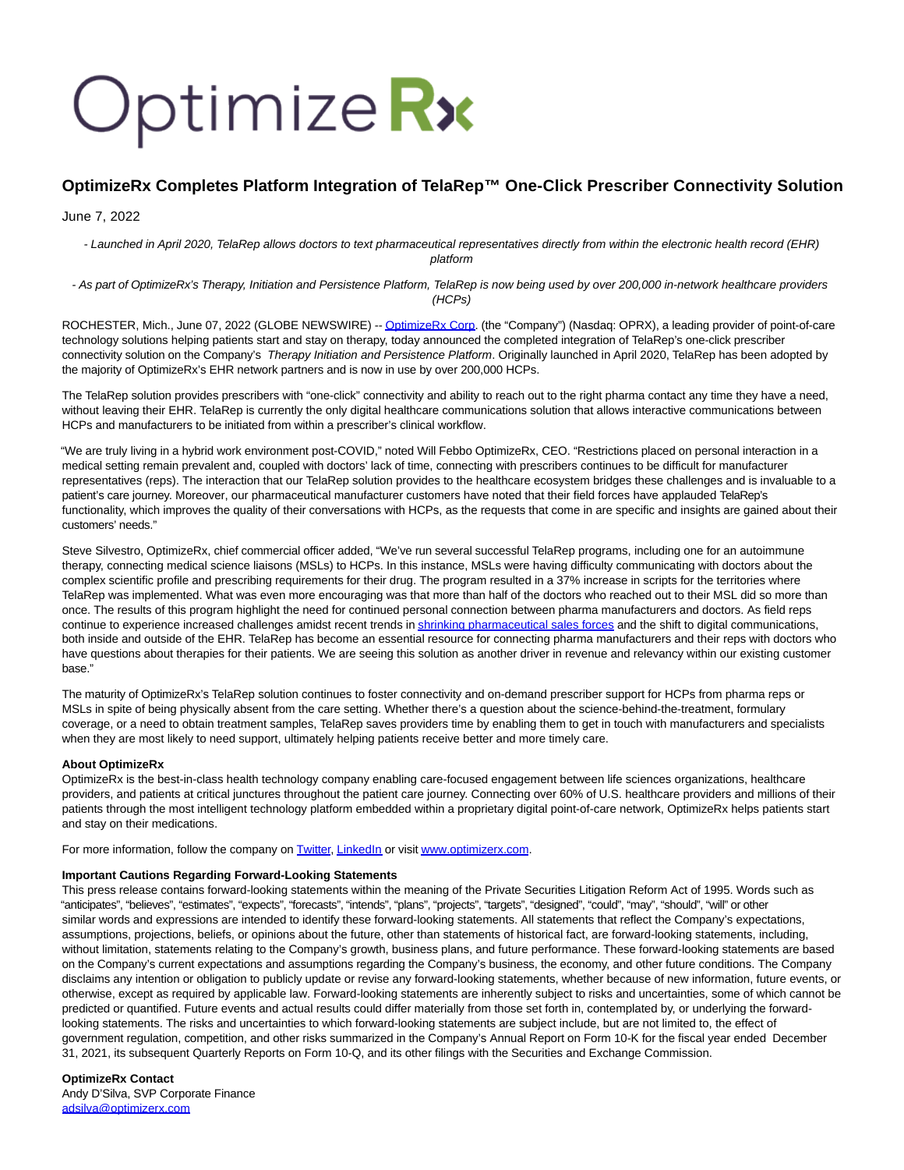# Optimize Rx

## **OptimizeRx Completes Platform Integration of TelaRep™ One-Click Prescriber Connectivity Solution**

June 7, 2022

- Launched in April 2020, TelaRep allows doctors to text pharmaceutical representatives directly from within the electronic health record (EHR) platform

- As part of OptimizeRx's Therapy, Initiation and Persistence Platform, TelaRep is now being used by over 200,000 in-network healthcare providers (HCPs)

ROCHESTER, Mich., June 07, 2022 (GLOBE NEWSWIRE) -[- OptimizeRx Corp.](https://www.globenewswire.com/Tracker?data=20nTdzJPNAuCUJRgNfsLaOP7D-EBodanId27jQFR7tHVqHkYh2clefNXPxA2ONcA7sBbiwL5SewSafJze3JSOg==) (the "Company") (Nasdaq: OPRX), a leading provider of point-of-care technology solutions helping patients start and stay on therapy, today announced the completed integration of TelaRep's one-click prescriber connectivity solution on the Company's Therapy Initiation and Persistence Platform. Originally launched in April 2020, TelaRep has been adopted by the majority of OptimizeRx's EHR network partners and is now in use by over 200,000 HCPs.

The TelaRep solution provides prescribers with "one-click" connectivity and ability to reach out to the right pharma contact any time they have a need, without leaving their EHR. TelaRep is currently the only digital healthcare communications solution that allows interactive communications between HCPs and manufacturers to be initiated from within a prescriber's clinical workflow.

"We are truly living in a hybrid work environment post-COVID," noted Will Febbo OptimizeRx, CEO. "Restrictions placed on personal interaction in a medical setting remain prevalent and, coupled with doctors' lack of time, connecting with prescribers continues to be difficult for manufacturer representatives (reps). The interaction that our TelaRep solution provides to the healthcare ecosystem bridges these challenges and is invaluable to a patient's care journey. Moreover, our pharmaceutical manufacturer customers have noted that their field forces have applauded TelaRep's functionality, which improves the quality of their conversations with HCPs, as the requests that come in are specific and insights are gained about their customers' needs."

Steve Silvestro, OptimizeRx, chief commercial officer added, "We've run several successful TelaRep programs, including one for an autoimmune therapy, connecting medical science liaisons (MSLs) to HCPs. In this instance, MSLs were having difficulty communicating with doctors about the complex scientific profile and prescribing requirements for their drug. The program resulted in a 37% increase in scripts for the territories where TelaRep was implemented. What was even more encouraging was that more than half of the doctors who reached out to their MSL did so more than once. The results of this program highlight the need for continued personal connection between pharma manufacturers and doctors. As field reps continue to experience increased challenges amidst recent trends i[n shrinking pharmaceutical sales forces a](https://www.globenewswire.com/Tracker?data=Ur1sthCS5tASAe5PhXvQZaamQO52qIvtlPkvXRlJPw-ftMqoVc6aKH_kQJKyzwVI1fWN-Xn7MsGDr1soJSEH_aFObYXyqG_q11YozgrMPqxB606StKnQLz_xe3UUP3fKCvBmBMRn9OsoWhuU1wIcStBaiEpDwEUJz-sNbl9gvr2ndXYHxfeM-FPucHfrLQI-YJMjs3-sMpjEs7XdMBRK318oEg1iBBhWGQhYWHDg16Y=)nd the shift to digital communications, both inside and outside of the EHR. TelaRep has become an essential resource for connecting pharma manufacturers and their reps with doctors who have questions about therapies for their patients. We are seeing this solution as another driver in revenue and relevancy within our existing customer base."

The maturity of OptimizeRx's TelaRep solution continues to foster connectivity and on-demand prescriber support for HCPs from pharma reps or MSLs in spite of being physically absent from the care setting. Whether there's a question about the science-behind-the-treatment, formulary coverage, or a need to obtain treatment samples, TelaRep saves providers time by enabling them to get in touch with manufacturers and specialists when they are most likely to need support, ultimately helping patients receive better and more timely care.

### **About OptimizeRx**

OptimizeRx is the best-in-class health technology company enabling care-focused engagement between life sciences organizations, healthcare providers, and patients at critical junctures throughout the patient care journey. Connecting over 60% of U.S. healthcare providers and millions of their patients through the most intelligent technology platform embedded within a proprietary digital point-of-care network, OptimizeRx helps patients start and stay on their medications.

For more information, follow the company on **Twitter, LinkedIn** or visit www.optimizerx.com.

### **Important Cautions Regarding Forward-Looking Statements**

This press release contains forward-looking statements within the meaning of the Private Securities Litigation Reform Act of 1995. Words such as "anticipates", "believes", "estimates", "expects", "forecasts", "intends", "plans", "projects", "targets", "designed", "could", "may", "should", "will" or other similar words and expressions are intended to identify these forward-looking statements. All statements that reflect the Company's expectations, assumptions, projections, beliefs, or opinions about the future, other than statements of historical fact, are forward-looking statements, including, without limitation, statements relating to the Company's growth, business plans, and future performance. These forward-looking statements are based on the Company's current expectations and assumptions regarding the Company's business, the economy, and other future conditions. The Company disclaims any intention or obligation to publicly update or revise any forward-looking statements, whether because of new information, future events, or otherwise, except as required by applicable law. Forward-looking statements are inherently subject to risks and uncertainties, some of which cannot be predicted or quantified. Future events and actual results could differ materially from those set forth in, contemplated by, or underlying the forwardlooking statements. The risks and uncertainties to which forward-looking statements are subject include, but are not limited to, the effect of government regulation, competition, and other risks summarized in the Company's Annual Report on Form 10-K for the fiscal year ended December 31, 2021, its subsequent Quarterly Reports on Form 10-Q, and its other filings with the Securities and Exchange Commission.

### **OptimizeRx Contact**

Andy D'Silva, SVP Corporate Finance [adsilva@optimizerx.com](https://www.globenewswire.com/Tracker?data=pMFoCNdjtQ4XE0ynoyK9ovkgZzpi2SqWuGeHyPnTZI0PIJ1HmyqaRan3fhHy-dFxmShM7brHyjb9CgbogUp18G50tyaMcXubLnZPFgqxX8s=)